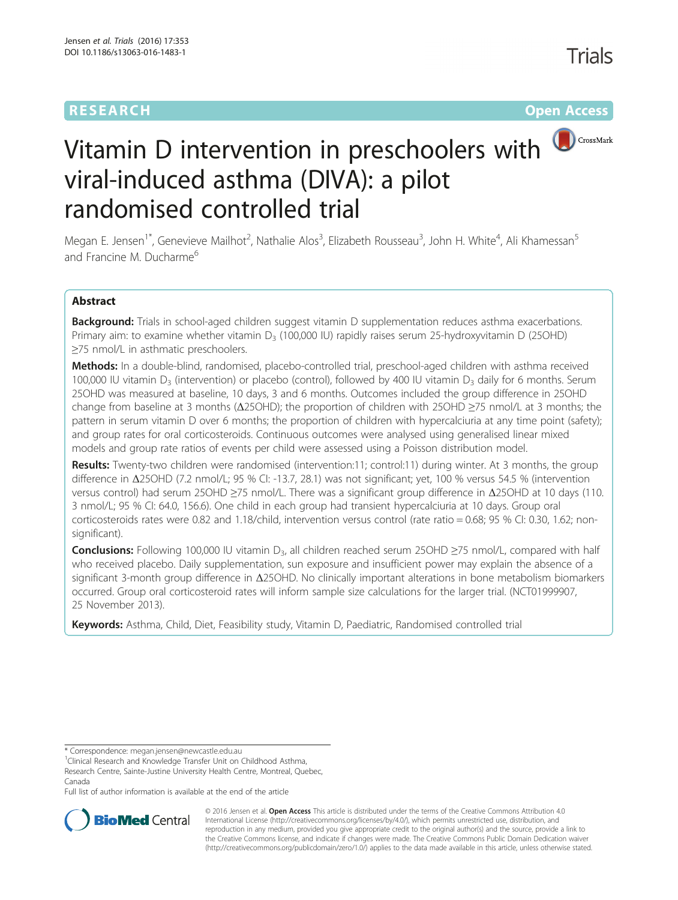# **RESEARCH RESEARCH** *RESEARCH*



# Vitamin D intervention in preschoolers with viral-induced asthma (DIVA): a pilot randomised controlled trial

Megan E. Jensen<sup>1\*</sup>, Genevieve Mailhot<sup>2</sup>, Nathalie Alos<sup>3</sup>, Elizabeth Rousseau<sup>3</sup>, John H. White<sup>4</sup>, Ali Khamessan<sup>5</sup> and Francine M. Ducharme<sup>6</sup>

# Abstract

Background: Trials in school-aged children suggest vitamin D supplementation reduces asthma exacerbations. Primary aim: to examine whether vitamin  $D_3$  (100,000 IU) rapidly raises serum 25-hydroxyvitamin D (25OHD) ≥75 nmol/L in asthmatic preschoolers.

Methods: In a double-blind, randomised, placebo-controlled trial, preschool-aged children with asthma received 100,000 IU vitamin D<sub>3</sub> (intervention) or placebo (control), followed by 400 IU vitamin D<sub>3</sub> daily for 6 months. Serum 25OHD was measured at baseline, 10 days, 3 and 6 months. Outcomes included the group difference in 25OHD change from baseline at 3 months (Δ25OHD); the proportion of children with 25OHD ≥75 nmol/L at 3 months; the pattern in serum vitamin D over 6 months; the proportion of children with hypercalciuria at any time point (safety); and group rates for oral corticosteroids. Continuous outcomes were analysed using generalised linear mixed models and group rate ratios of events per child were assessed using a Poisson distribution model.

Results: Twenty-two children were randomised (intervention:11; control:11) during winter. At 3 months, the group difference in Δ25OHD (7.2 nmol/L; 95 % CI: -13.7, 28.1) was not significant; yet, 100 % versus 54.5 % (intervention versus control) had serum 25OHD ≥75 nmol/L. There was a significant group difference in Δ25OHD at 10 days (110. 3 nmol/L; 95 % CI: 64.0, 156.6). One child in each group had transient hypercalciuria at 10 days. Group oral corticosteroids rates were 0.82 and 1.18/child, intervention versus control (rate ratio = 0.68; 95 % CI: 0.30, 1.62; nonsignificant).

**Conclusions:** Following 100,000 IU vitamin D<sub>3</sub>, all children reached serum 25OHD  $\geq$ 75 nmol/L, compared with half who received placebo. Daily supplementation, sun exposure and insufficient power may explain the absence of a significant 3-month group difference in Δ25OHD. No clinically important alterations in bone metabolism biomarkers occurred. Group oral corticosteroid rates will inform sample size calculations for the larger trial. [\(NCT01999907](https://clinicaltrials.gov/show/NCT01999907), 25 November 2013).

Keywords: Asthma, Child, Diet, Feasibility study, Vitamin D, Paediatric, Randomised controlled trial

\* Correspondence: [megan.jensen@newcastle.edu.au](mailto:megan.jensen@newcastle.edu.au) <sup>1</sup>

<sup>1</sup>Clinical Research and Knowledge Transfer Unit on Childhood Asthma,

Research Centre, Sainte-Justine University Health Centre, Montreal, Quebec, Canada

Full list of author information is available at the end of the article



© 2016 Jensen et al. Open Access This article is distributed under the terms of the Creative Commons Attribution 4.0 International License [\(http://creativecommons.org/licenses/by/4.0/](http://creativecommons.org/licenses/by/4.0/)), which permits unrestricted use, distribution, and reproduction in any medium, provided you give appropriate credit to the original author(s) and the source, provide a link to the Creative Commons license, and indicate if changes were made. The Creative Commons Public Domain Dedication waiver [\(http://creativecommons.org/publicdomain/zero/1.0/](http://creativecommons.org/publicdomain/zero/1.0/)) applies to the data made available in this article, unless otherwise stated.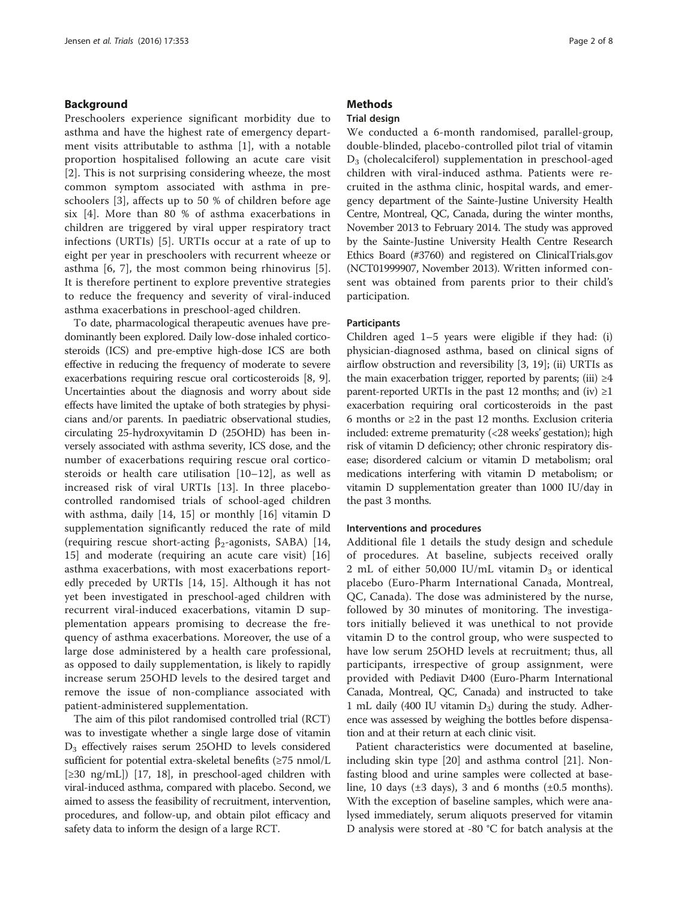#### Background

Preschoolers experience significant morbidity due to asthma and have the highest rate of emergency department visits attributable to asthma [[1\]](#page-6-0), with a notable proportion hospitalised following an acute care visit [[2](#page-6-0)]. This is not surprising considering wheeze, the most common symptom associated with asthma in preschoolers [[3\]](#page-6-0), affects up to 50 % of children before age six [[4\]](#page-6-0). More than 80 % of asthma exacerbations in children are triggered by viral upper respiratory tract infections (URTIs) [\[5\]](#page-6-0). URTIs occur at a rate of up to eight per year in preschoolers with recurrent wheeze or asthma [[6](#page-6-0), [7](#page-6-0)], the most common being rhinovirus [[5](#page-6-0)]. It is therefore pertinent to explore preventive strategies to reduce the frequency and severity of viral-induced asthma exacerbations in preschool-aged children.

To date, pharmacological therapeutic avenues have predominantly been explored. Daily low-dose inhaled corticosteroids (ICS) and pre-emptive high-dose ICS are both effective in reducing the frequency of moderate to severe exacerbations requiring rescue oral corticosteroids [[8, 9](#page-6-0)]. Uncertainties about the diagnosis and worry about side effects have limited the uptake of both strategies by physicians and/or parents. In paediatric observational studies, circulating 25-hydroxyvitamin D (25OHD) has been inversely associated with asthma severity, ICS dose, and the number of exacerbations requiring rescue oral corticosteroids or health care utilisation [[10](#page-6-0)–[12\]](#page-6-0), as well as increased risk of viral URTIs [[13\]](#page-6-0). In three placebocontrolled randomised trials of school-aged children with asthma, daily [\[14](#page-6-0), [15](#page-6-0)] or monthly [[16\]](#page-6-0) vitamin D supplementation significantly reduced the rate of mild (requiring rescue short-acting  $\beta_2$ -agonists, SABA) [\[14](#page-6-0), [15\]](#page-6-0) and moderate (requiring an acute care visit) [\[16](#page-6-0)] asthma exacerbations, with most exacerbations reportedly preceded by URTIs [\[14, 15](#page-6-0)]. Although it has not yet been investigated in preschool-aged children with recurrent viral-induced exacerbations, vitamin D supplementation appears promising to decrease the frequency of asthma exacerbations. Moreover, the use of a large dose administered by a health care professional, as opposed to daily supplementation, is likely to rapidly increase serum 25OHD levels to the desired target and remove the issue of non-compliance associated with patient-administered supplementation.

The aim of this pilot randomised controlled trial (RCT) was to investigate whether a single large dose of vitamin D3 effectively raises serum 25OHD to levels considered sufficient for potential extra-skeletal benefits (≥75 nmol/L [≥30 ng/mL]) [[17](#page-6-0), [18\]](#page-6-0), in preschool-aged children with viral-induced asthma, compared with placebo. Second, we aimed to assess the feasibility of recruitment, intervention, procedures, and follow-up, and obtain pilot efficacy and safety data to inform the design of a large RCT.

### **Methods**

#### Trial design

We conducted a 6-month randomised, parallel-group, double-blinded, placebo-controlled pilot trial of vitamin D3 (cholecalciferol) supplementation in preschool-aged children with viral-induced asthma. Patients were recruited in the asthma clinic, hospital wards, and emergency department of the Sainte-Justine University Health Centre, Montreal, QC, Canada, during the winter months, November 2013 to February 2014. The study was approved by the Sainte-Justine University Health Centre Research Ethics Board (#3760) and registered on ClinicalTrials.gov (NCT01999907, November 2013). Written informed consent was obtained from parents prior to their child's participation.

#### Participants

Children aged 1–5 years were eligible if they had: (i) physician-diagnosed asthma, based on clinical signs of airflow obstruction and reversibility [[3, 19\]](#page-6-0); (ii) URTIs as the main exacerbation trigger, reported by parents; (iii)  $\geq 4$ parent-reported URTIs in the past 12 months; and (iv)  $\geq 1$ exacerbation requiring oral corticosteroids in the past 6 months or ≥2 in the past 12 months. Exclusion criteria included: extreme prematurity (<28 weeks' gestation); high risk of vitamin D deficiency; other chronic respiratory disease; disordered calcium or vitamin D metabolism; oral medications interfering with vitamin D metabolism; or vitamin D supplementation greater than 1000 IU/day in the past 3 months.

#### Interventions and procedures

Additional file [1](#page-5-0) details the study design and schedule of procedures. At baseline, subjects received orally 2 mL of either 50,000 IU/mL vitamin  $D_3$  or identical placebo (Euro-Pharm International Canada, Montreal, QC, Canada). The dose was administered by the nurse, followed by 30 minutes of monitoring. The investigators initially believed it was unethical to not provide vitamin D to the control group, who were suspected to have low serum 25OHD levels at recruitment; thus, all participants, irrespective of group assignment, were provided with Pediavit D400 (Euro-Pharm International Canada, Montreal, QC, Canada) and instructed to take 1 mL daily (400 IU vitamin  $D_3$ ) during the study. Adherence was assessed by weighing the bottles before dispensation and at their return at each clinic visit.

Patient characteristics were documented at baseline, including skin type [[20\]](#page-6-0) and asthma control [[21\]](#page-6-0). Nonfasting blood and urine samples were collected at baseline, 10 days ( $\pm 3$  days), 3 and 6 months ( $\pm 0.5$  months). With the exception of baseline samples, which were analysed immediately, serum aliquots preserved for vitamin D analysis were stored at -80 °C for batch analysis at the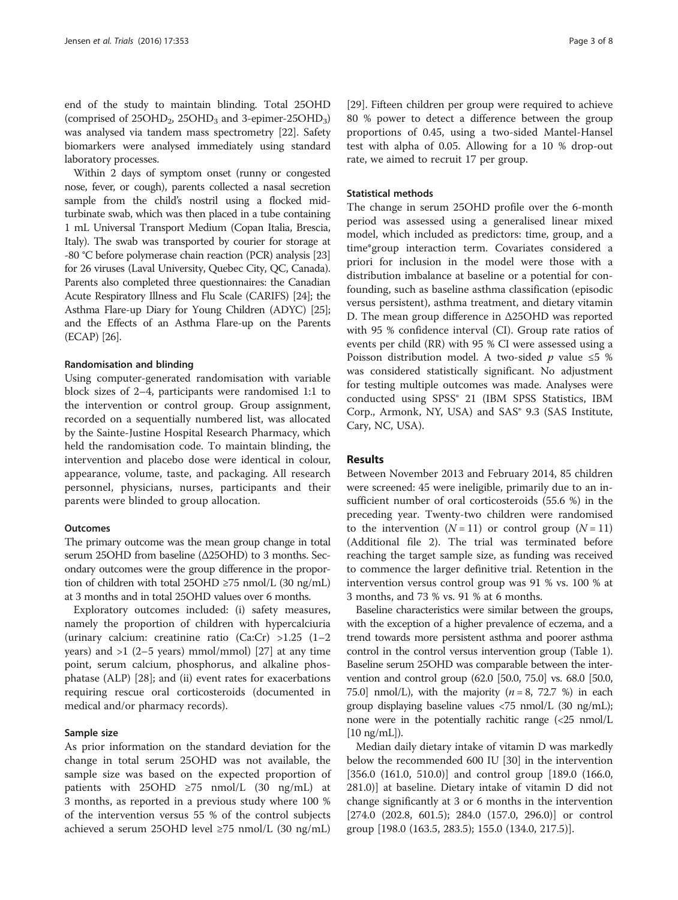end of the study to maintain blinding. Total 25OHD (comprised of  $25OHD<sub>2</sub>$ ,  $25OHD<sub>3</sub>$ ) and 3-epimer-25OHD<sub>3</sub>) was analysed via tandem mass spectrometry [[22](#page-6-0)]. Safety biomarkers were analysed immediately using standard laboratory processes.

Within 2 days of symptom onset (runny or congested nose, fever, or cough), parents collected a nasal secretion sample from the child's nostril using a flocked midturbinate swab, which was then placed in a tube containing 1 mL Universal Transport Medium (Copan Italia, Brescia, Italy). The swab was transported by courier for storage at -80 °C before polymerase chain reaction (PCR) analysis [\[23](#page-6-0)] for 26 viruses (Laval University, Quebec City, QC, Canada). Parents also completed three questionnaires: the Canadian Acute Respiratory Illness and Flu Scale (CARIFS) [\[24\]](#page-6-0); the Asthma Flare-up Diary for Young Children (ADYC) [\[25](#page-6-0)]; and the Effects of an Asthma Flare-up on the Parents (ECAP) [\[26\]](#page-6-0).

#### Randomisation and blinding

Using computer-generated randomisation with variable block sizes of 2–4, participants were randomised 1:1 to the intervention or control group. Group assignment, recorded on a sequentially numbered list, was allocated by the Sainte-Justine Hospital Research Pharmacy, which held the randomisation code. To maintain blinding, the intervention and placebo dose were identical in colour, appearance, volume, taste, and packaging. All research personnel, physicians, nurses, participants and their parents were blinded to group allocation.

#### **Outcomes**

The primary outcome was the mean group change in total serum 25OHD from baseline (Δ25OHD) to 3 months. Secondary outcomes were the group difference in the proportion of children with total 25OHD ≥75 nmol/L (30 ng/mL) at 3 months and in total 25OHD values over 6 months.

Exploratory outcomes included: (i) safety measures, namely the proportion of children with hypercalciuria (urinary calcium: creatinine ratio (Ca:Cr) >1.25 (1–2 years) and  $>1$  (2–5 years) mmol/mmol) [\[27\]](#page-6-0) at any time point, serum calcium, phosphorus, and alkaline phosphatase (ALP) [\[28](#page-6-0)]; and (ii) event rates for exacerbations requiring rescue oral corticosteroids (documented in medical and/or pharmacy records).

#### Sample size

As prior information on the standard deviation for the change in total serum 25OHD was not available, the sample size was based on the expected proportion of patients with 25OHD  $\geq$ 75 nmol/L (30 ng/mL) at 3 months, as reported in a previous study where 100 % of the intervention versus 55 % of the control subjects achieved a serum 25OHD level ≥75 nmol/L (30 ng/mL)

[[29\]](#page-6-0). Fifteen children per group were required to achieve 80 % power to detect a difference between the group proportions of 0.45, using a two-sided Mantel-Hansel test with alpha of 0.05. Allowing for a 10 % drop-out rate, we aimed to recruit 17 per group.

#### Statistical methods

The change in serum 25OHD profile over the 6-month period was assessed using a generalised linear mixed model, which included as predictors: time, group, and a time\*group interaction term. Covariates considered a priori for inclusion in the model were those with a distribution imbalance at baseline or a potential for confounding, such as baseline asthma classification (episodic versus persistent), asthma treatment, and dietary vitamin D. The mean group difference in Δ25OHD was reported with 95 % confidence interval (CI). Group rate ratios of events per child (RR) with 95 % CI were assessed using a Poisson distribution model. A two-sided  $p$  value ≤5 % was considered statistically significant. No adjustment for testing multiple outcomes was made. Analyses were conducted using SPSS® 21 (IBM SPSS Statistics, IBM Corp., Armonk, NY, USA) and SAS® 9.3 (SAS Institute, Cary, NC, USA).

#### Results

Between November 2013 and February 2014, 85 children were screened: 45 were ineligible, primarily due to an insufficient number of oral corticosteroids (55.6 %) in the preceding year. Twenty-two children were randomised to the intervention  $(N = 11)$  or control group  $(N = 11)$ (Additional file [2\)](#page-5-0). The trial was terminated before reaching the target sample size, as funding was received to commence the larger definitive trial. Retention in the intervention versus control group was 91 % vs. 100 % at 3 months, and 73 % vs. 91 % at 6 months.

Baseline characteristics were similar between the groups, with the exception of a higher prevalence of eczema, and a trend towards more persistent asthma and poorer asthma control in the control versus intervention group (Table [1](#page-3-0)). Baseline serum 25OHD was comparable between the intervention and control group (62.0 [50.0, 75.0] vs. 68.0 [50.0, 75.0] nmol/L), with the majority  $(n = 8, 72.7 \%)$  in each group displaying baseline values <75 nmol/L (30 ng/mL); none were in the potentially rachitic range  $\langle$  <25 nmol/L  $|10 \text{ ng/mL}|$ ).

Median daily dietary intake of vitamin D was markedly below the recommended 600 IU [[30\]](#page-6-0) in the intervention [356.0 (161.0, 510.0)] and control group [189.0 (166.0, 281.0)] at baseline. Dietary intake of vitamin D did not change significantly at 3 or 6 months in the intervention [274.0 (202.8, 601.5); 284.0 (157.0, 296.0)] or control group [198.0 (163.5, 283.5); 155.0 (134.0, 217.5)].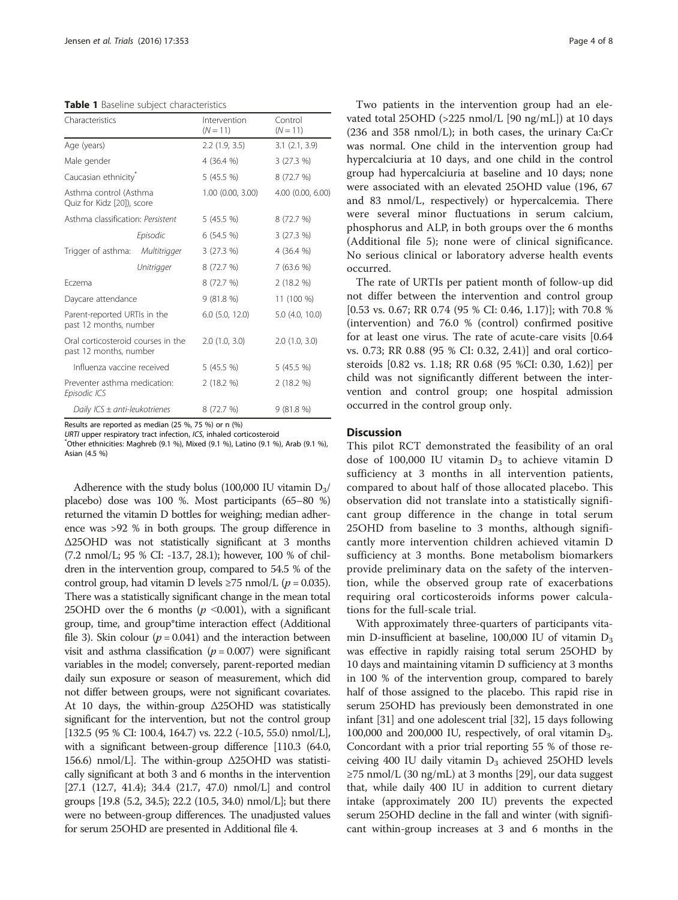<span id="page-3-0"></span>Table 1 Baseline subject characteristics

| Characteristics                                              |            | Intervention<br>$(N = 11)$ | Control<br>$(N = 11)$ |
|--------------------------------------------------------------|------------|----------------------------|-----------------------|
| Age (years)                                                  |            | 2.2(1.9, 3.5)              | 3.1(2.1, 3.9)         |
| Male gender                                                  |            | 4 (36.4 %)                 | 3(27.3%)              |
| Caucasian ethnicity <sup>®</sup>                             |            | 5(45.5%)                   | 8 (72.7 %)            |
| Asthma control (Asthma<br>Quiz for Kidz [20]), score         |            | $1.00$ (0.00, 3.00)        | 4.00 (0.00, 6.00)     |
| Asthma classification: Persistent                            |            | 5(45.5%)                   | 8 (72.7 %)            |
|                                                              | Episodic   | 6(54.5%)                   | 3(27.3%)              |
| Trigger of asthma: Multitrigger                              |            | 3(27.3%)                   | 4 (36.4 %)            |
|                                                              | Unitrigger | 8 (72.7 %)                 | 7 (63.6 %)            |
| Fczema                                                       |            | 8 (72.7 %)                 | 2(18.2%)              |
| Daycare attendance                                           |            | 9(81.8%)                   | 11 (100 %)            |
| Parent-reported URTIs in the<br>past 12 months, number       |            | $6.0$ $(5.0, 12.0)$        | 5.0 (4.0, 10.0)       |
| Oral corticosteroid courses in the<br>past 12 months, number |            | 2.0(1.0, 3.0)              | 2.0(1.0, 3.0)         |
| Influenza vaccine received                                   |            | 5(45.5%)                   | 5 (45.5 %)            |
| Preventer asthma medication:<br>Episodic ICS                 |            | 2(18.2%)                   | 2(18.2%)              |
| Daily $ICS \pm anti-leukotrienes$                            |            | 8 (72.7 %)                 | 9(81.8%)              |

Results are reported as median (25 %, 75 %) or n (%)

URTI upper respiratory tract infection, ICS, inhaled corticosteroid

 $\degree$ Other ethnicities: Maghreb (9.1 %), Mixed (9.1 %), Latino (9.1 %), Arab (9.1 %), Asian (4.5 %)

Adherence with the study bolus (100,000 IU vitamin  $D_3/$ placebo) dose was 100 %. Most participants (65–80 %) returned the vitamin D bottles for weighing; median adherence was >92 % in both groups. The group difference in Δ25OHD was not statistically significant at 3 months (7.2 nmol/L; 95 % CI: -13.7, 28.1); however, 100 % of children in the intervention group, compared to 54.5 % of the control group, had vitamin D levels  $\geq$ 75 nmol/L ( $p = 0.035$ ). There was a statistically significant change in the mean total 25OHD over the 6 months ( $p \le 0.001$ ), with a significant group, time, and group\*time interaction effect (Additional file [3](#page-5-0)). Skin colour ( $p = 0.041$ ) and the interaction between visit and asthma classification ( $p = 0.007$ ) were significant variables in the model; conversely, parent-reported median daily sun exposure or season of measurement, which did not differ between groups, were not significant covariates. At 10 days, the within-group Δ25OHD was statistically significant for the intervention, but not the control group [132.5 (95 % CI: 100.4, 164.7) vs. 22.2 (-10.5, 55.0) nmol/L], with a significant between-group difference [110.3 (64.0, 156.6) nmol/L]. The within-group Δ25OHD was statistically significant at both 3 and 6 months in the intervention  $[27.1 \ (12.7, 41.4); 34.4 \ (21.7, 47.0) \ nmol/L]$  and control groups [19.8 (5.2, 34.5); 22.2 (10.5, 34.0) nmol/L]; but there were no between-group differences. The unadjusted values for serum 25OHD are presented in Additional file [4.](#page-5-0)

Two patients in the intervention group had an elevated total 25OHD (>225 nmol/L [90 ng/mL]) at 10 days (236 and 358 nmol/L); in both cases, the urinary Ca:Cr was normal. One child in the intervention group had hypercalciuria at 10 days, and one child in the control group had hypercalciuria at baseline and 10 days; none were associated with an elevated 25OHD value (196, 67 and 83 nmol/L, respectively) or hypercalcemia. There were several minor fluctuations in serum calcium, phosphorus and ALP, in both groups over the 6 months (Additional file [5\)](#page-5-0); none were of clinical significance. No serious clinical or laboratory adverse health events occurred.

The rate of URTIs per patient month of follow-up did not differ between the intervention and control group [0.53 vs. 0.67; RR 0.74 (95 % CI: 0.46, 1.17)]; with 70.8 % (intervention) and 76.0 % (control) confirmed positive for at least one virus. The rate of acute-care visits [0.64 vs. 0.73; RR 0.88 (95 % CI: 0.32, 2.41)] and oral corticosteroids [0.82 vs. 1.18; RR 0.68 (95 %CI: 0.30, 1.62)] per child was not significantly different between the intervention and control group; one hospital admission occurred in the control group only.

#### **Discussion**

This pilot RCT demonstrated the feasibility of an oral dose of 100,000 IU vitamin  $D_3$  to achieve vitamin D sufficiency at 3 months in all intervention patients, compared to about half of those allocated placebo. This observation did not translate into a statistically significant group difference in the change in total serum 25OHD from baseline to 3 months, although significantly more intervention children achieved vitamin D sufficiency at 3 months. Bone metabolism biomarkers provide preliminary data on the safety of the intervention, while the observed group rate of exacerbations requiring oral corticosteroids informs power calculations for the full-scale trial.

With approximately three-quarters of participants vitamin D-insufficient at baseline, 100,000 IU of vitamin  $D_3$ was effective in rapidly raising total serum 25OHD by 10 days and maintaining vitamin D sufficiency at 3 months in 100 % of the intervention group, compared to barely half of those assigned to the placebo. This rapid rise in serum 25OHD has previously been demonstrated in one infant [\[31\]](#page-6-0) and one adolescent trial [\[32\]](#page-6-0), 15 days following 100,000 and 200,000 IU, respectively, of oral vitamin  $D_3$ . Concordant with a prior trial reporting 55 % of those receiving 400 IU daily vitamin  $D_3$  achieved 25OHD levels ≥75 nmol/L (30 ng/mL) at 3 months [\[29\]](#page-6-0), our data suggest that, while daily 400 IU in addition to current dietary intake (approximately 200 IU) prevents the expected serum 25OHD decline in the fall and winter (with significant within-group increases at 3 and 6 months in the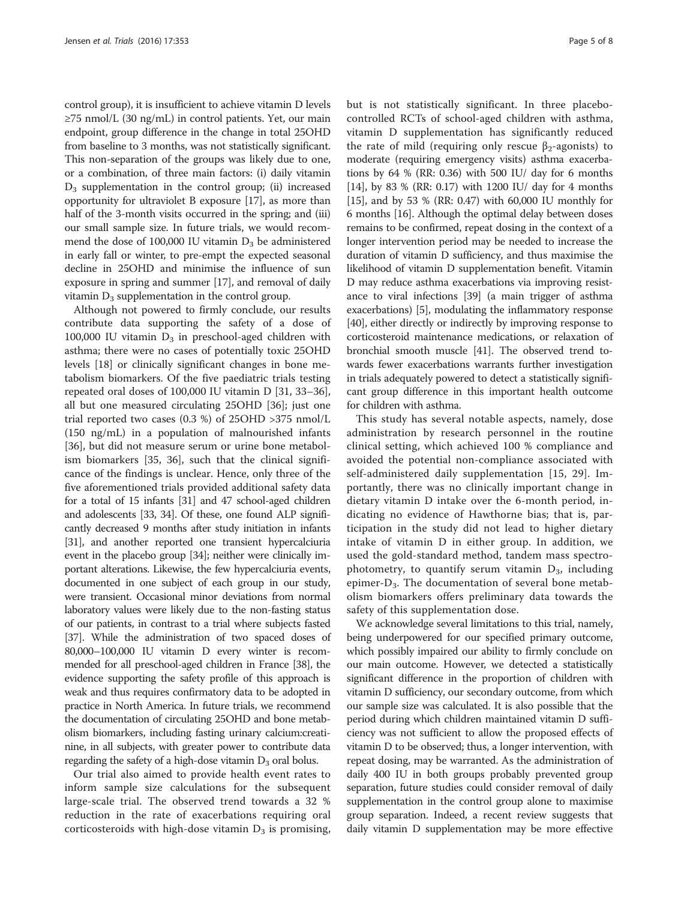control group), it is insufficient to achieve vitamin D levels  $\geq$ 75 nmol/L (30 ng/mL) in control patients. Yet, our main endpoint, group difference in the change in total 25OHD from baseline to 3 months, was not statistically significant. This non-separation of the groups was likely due to one, or a combination, of three main factors: (i) daily vitamin  $D_3$  supplementation in the control group; (ii) increased opportunity for ultraviolet B exposure [\[17\]](#page-6-0), as more than half of the 3-month visits occurred in the spring; and (iii) our small sample size. In future trials, we would recommend the dose of 100,000 IU vitamin  $D_3$  be administered in early fall or winter, to pre-empt the expected seasonal decline in 25OHD and minimise the influence of sun exposure in spring and summer [[17](#page-6-0)], and removal of daily vitamin  $D_3$  supplementation in the control group.

Although not powered to firmly conclude, our results contribute data supporting the safety of a dose of 100,000 IU vitamin  $D_3$  in preschool-aged children with asthma; there were no cases of potentially toxic 25OHD levels [\[18](#page-6-0)] or clinically significant changes in bone metabolism biomarkers. Of the five paediatric trials testing repeated oral doses of 100,000 IU vitamin D [[31](#page-6-0), [33](#page-6-0)–[36](#page-7-0)], all but one measured circulating 25OHD [\[36](#page-7-0)]; just one trial reported two cases  $(0.3 \%)$  of 25OHD >375 nmol/L (150 ng/mL) in a population of malnourished infants [[36\]](#page-7-0), but did not measure serum or urine bone metabolism biomarkers [[35, 36](#page-7-0)], such that the clinical significance of the findings is unclear. Hence, only three of the five aforementioned trials provided additional safety data for a total of 15 infants [[31](#page-6-0)] and 47 school-aged children and adolescents [\[33](#page-6-0), [34](#page-6-0)]. Of these, one found ALP significantly decreased 9 months after study initiation in infants [[31](#page-6-0)], and another reported one transient hypercalciuria event in the placebo group [\[34\]](#page-6-0); neither were clinically important alterations. Likewise, the few hypercalciuria events, documented in one subject of each group in our study, were transient. Occasional minor deviations from normal laboratory values were likely due to the non-fasting status of our patients, in contrast to a trial where subjects fasted [[37](#page-7-0)]. While the administration of two spaced doses of 80,000–100,000 IU vitamin D every winter is recommended for all preschool-aged children in France [\[38\]](#page-7-0), the evidence supporting the safety profile of this approach is weak and thus requires confirmatory data to be adopted in practice in North America. In future trials, we recommend the documentation of circulating 25OHD and bone metabolism biomarkers, including fasting urinary calcium:creatinine, in all subjects, with greater power to contribute data regarding the safety of a high-dose vitamin  $D_3$  oral bolus.

Our trial also aimed to provide health event rates to inform sample size calculations for the subsequent large-scale trial. The observed trend towards a 32 % reduction in the rate of exacerbations requiring oral corticosteroids with high-dose vitamin  $D_3$  is promising, but is not statistically significant. In three placebocontrolled RCTs of school-aged children with asthma, vitamin D supplementation has significantly reduced the rate of mild (requiring only rescue β<sub>2</sub>-agonists) to moderate (requiring emergency visits) asthma exacerbations by 64 % (RR: 0.36) with 500 IU/ day for 6 months [[14](#page-6-0)], by 83 % (RR: 0.17) with 1200 IU/ day for 4 months [[15](#page-6-0)], and by 53 % (RR: 0.47) with 60,000 IU monthly for 6 months [\[16\]](#page-6-0). Although the optimal delay between doses remains to be confirmed, repeat dosing in the context of a longer intervention period may be needed to increase the duration of vitamin D sufficiency, and thus maximise the likelihood of vitamin D supplementation benefit. Vitamin D may reduce asthma exacerbations via improving resistance to viral infections [\[39\]](#page-7-0) (a main trigger of asthma exacerbations) [[5](#page-6-0)], modulating the inflammatory response [[40](#page-7-0)], either directly or indirectly by improving response to corticosteroid maintenance medications, or relaxation of bronchial smooth muscle [[41\]](#page-7-0). The observed trend towards fewer exacerbations warrants further investigation in trials adequately powered to detect a statistically significant group difference in this important health outcome for children with asthma.

This study has several notable aspects, namely, dose administration by research personnel in the routine clinical setting, which achieved 100 % compliance and avoided the potential non-compliance associated with self-administered daily supplementation [[15, 29\]](#page-6-0). Importantly, there was no clinically important change in dietary vitamin D intake over the 6-month period, indicating no evidence of Hawthorne bias; that is, participation in the study did not lead to higher dietary intake of vitamin D in either group. In addition, we used the gold-standard method, tandem mass spectrophotometry, to quantify serum vitamin  $D_3$ , including epimer-D<sub>3</sub>. The documentation of several bone metabolism biomarkers offers preliminary data towards the safety of this supplementation dose.

We acknowledge several limitations to this trial, namely, being underpowered for our specified primary outcome, which possibly impaired our ability to firmly conclude on our main outcome. However, we detected a statistically significant difference in the proportion of children with vitamin D sufficiency, our secondary outcome, from which our sample size was calculated. It is also possible that the period during which children maintained vitamin D sufficiency was not sufficient to allow the proposed effects of vitamin D to be observed; thus, a longer intervention, with repeat dosing, may be warranted. As the administration of daily 400 IU in both groups probably prevented group separation, future studies could consider removal of daily supplementation in the control group alone to maximise group separation. Indeed, a recent review suggests that daily vitamin D supplementation may be more effective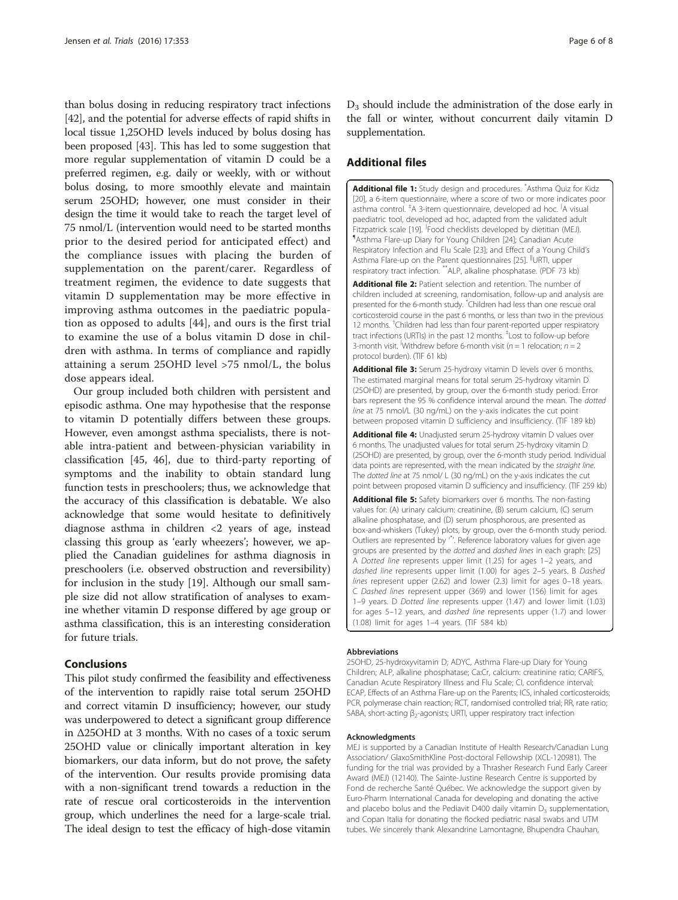<span id="page-5-0"></span>than bolus dosing in reducing respiratory tract infections [[42](#page-7-0)], and the potential for adverse effects of rapid shifts in local tissue 1,25OHD levels induced by bolus dosing has been proposed [\[43](#page-7-0)]. This has led to some suggestion that more regular supplementation of vitamin D could be a preferred regimen, e.g. daily or weekly, with or without bolus dosing, to more smoothly elevate and maintain serum 25OHD; however, one must consider in their design the time it would take to reach the target level of 75 nmol/L (intervention would need to be started months prior to the desired period for anticipated effect) and the compliance issues with placing the burden of supplementation on the parent/carer. Regardless of treatment regimen, the evidence to date suggests that vitamin D supplementation may be more effective in improving asthma outcomes in the paediatric population as opposed to adults [\[44](#page-7-0)], and ours is the first trial to examine the use of a bolus vitamin D dose in children with asthma. In terms of compliance and rapidly attaining a serum 25OHD level >75 nmol/L, the bolus dose appears ideal.

Our group included both children with persistent and episodic asthma. One may hypothesise that the response to vitamin D potentially differs between these groups. However, even amongst asthma specialists, there is notable intra-patient and between-physician variability in classification [\[45](#page-7-0), [46\]](#page-7-0), due to third-party reporting of symptoms and the inability to obtain standard lung function tests in preschoolers; thus, we acknowledge that the accuracy of this classification is debatable. We also acknowledge that some would hesitate to definitively diagnose asthma in children <2 years of age, instead classing this group as 'early wheezers'; however, we applied the Canadian guidelines for asthma diagnosis in preschoolers (i.e. observed obstruction and reversibility) for inclusion in the study [\[19\]](#page-6-0). Although our small sample size did not allow stratification of analyses to examine whether vitamin D response differed by age group or asthma classification, this is an interesting consideration for future trials.

# Conclusions

This pilot study confirmed the feasibility and effectiveness of the intervention to rapidly raise total serum 25OHD and correct vitamin D insufficiency; however, our study was underpowered to detect a significant group difference in Δ25OHD at 3 months. With no cases of a toxic serum 25OHD value or clinically important alteration in key biomarkers, our data inform, but do not prove, the safety of the intervention. Our results provide promising data with a non-significant trend towards a reduction in the rate of rescue oral corticosteroids in the intervention group, which underlines the need for a large-scale trial. The ideal design to test the efficacy of high-dose vitamin

 $D_3$  should include the administration of the dose early in the fall or winter, without concurrent daily vitamin D supplementation.

## Additional files

[Additional file 1:](dx.doi.org/10.1186/s13063-016-1483-1) Study design and procedures. <sup>\*</sup>Asthma Quiz for Kidz [[20](#page-6-0)], a 6-item questionnaire, where a score of two or more indicates poor asthma control. <sup>‡</sup>A 3-item questionnaire, developed ad hoc. <sup>∫</sup>A visual paediatric tool, developed ad hoc, adapted from the validated adult Fitzpatrick scale [\[19](#page-6-0)]. <sup>*F*</sup>rood checklists developed by dietitian (MEJ). <sup>¶</sup>Acthma Elare up Dian*t* for Young Children [24]: Capadian Acuto. Asthma Flare-up Diary for Young Children [[24\]](#page-6-0); Canadian Acute Respiratory Infection and Flu Scale [[23](#page-6-0)]; and Effect of a Young Child's Asthma Flare-up on the Parent questionnaires [\[25](#page-6-0)]. <sup>II</sup>URTI, upper respiratory tract infection. \*\*ALP, alkaline phosphatase. (PDF 73 kb)

[Additional file 2:](dx.doi.org/10.1186/s13063-016-1483-1) Patient selection and retention. The number of children included at screening, randomisation, follow-up and analysis are presented for the 6-month study. \* Children had less than one rescue oral corticosteroid course in the past 6 months, or less than two in the previous 12 months. <sup>†</sup>Children had less than four parent-reported upper respiratory tract infections (URTIs) in the past 12 months. <sup>‡</sup>Lost to follow-up before 3-month visit. <sup>∫</sup>Withdrew before 6-month visit ( $n = 1$  relocation;  $n = 2$ protocol burden). (TIF 61 kb)

[Additional file 3:](dx.doi.org/10.1186/s13063-016-1483-1) Serum 25-hydroxy vitamin D levels over 6 months. The estimated marginal means for total serum 25-hydroxy vitamin D (25OHD) are presented, by group, over the 6-month study period. Error bars represent the 95 % confidence interval around the mean. The dotted line at 75 nmol/L (30 ng/mL) on the y-axis indicates the cut point between proposed vitamin D sufficiency and insufficiency. (TIF 189 kb)

[Additional file 4:](dx.doi.org/10.1186/s13063-016-1483-1) Unadjusted serum 25-hydroxy vitamin D values over 6 months. The unadjusted values for total serum 25-hydroxy vitamin D (25OHD) are presented, by group, over the 6-month study period. Individual data points are represented, with the mean indicated by the straight line. The dotted line at 75 nmol/ L (30 ng/mL) on the y-axis indicates the cut point between proposed vitamin D sufficiency and insufficiency. (TIF 259 kb)

[Additional file 5:](dx.doi.org/10.1186/s13063-016-1483-1) Safety biomarkers over 6 months. The non-fasting values for: (A) urinary calcium: creatinine, (B) serum calcium, (C) serum alkaline phosphatase, and (D) serum phosphorous, are presented as box-and-whiskers (Tukey) plots, by group, over the 6-month study period. Outliers are represented by ' \* '. Reference laboratory values for given age groups are presented by the dotted and dashed lines in each graph: [[25\]](#page-6-0) A Dotted line represents upper limit (1.25) for ages 1–2 years, and dashed line represents upper limit (1.00) for ages 2–5 years. B Dashed lines represent upper (2.62) and lower (2.3) limit for ages 0–18 years. C Dashed lines represent upper (369) and lower (156) limit for ages 1–9 years. D Dotted line represents upper (1.47) and lower limit (1.03) for ages 5–12 years, and dashed line represents upper (1.7) and lower (1.08) limit for ages 1–4 years. (TIF 584 kb)

#### Abbreviations

25OHD, 25-hydroxyvitamin D; ADYC, Asthma Flare-up Diary for Young Children; ALP, alkaline phosphatase; Ca:Cr, calcium: creatinine ratio; CARIFS, Canadian Acute Respiratory Illness and Flu Scale; CI, confidence interval; ECAP, Effects of an Asthma Flare-up on the Parents; ICS, inhaled corticosteroids; PCR, polymerase chain reaction; RCT, randomised controlled trial; RR, rate ratio; SABA, short-acting β<sub>2</sub>-agonists; URTI, upper respiratory tract infection

#### Acknowledgments

MEJ is supported by a Canadian Institute of Health Research/Canadian Lung Association/ GlaxoSmithKline Post-doctoral Fellowship (XCL-120981). The funding for the trial was provided by a Thrasher Research Fund Early Career Award (MEJ) (12140). The Sainte-Justine Research Centre is supported by Fond de recherche Santé Québec. We acknowledge the support given by Euro-Pharm International Canada for developing and donating the active and placebo bolus and the Pediavit D400 daily vitamin  $D_3$  supplementation, and Copan Italia for donating the flocked pediatric nasal swabs and UTM tubes. We sincerely thank Alexandrine Lamontagne, Bhupendra Chauhan,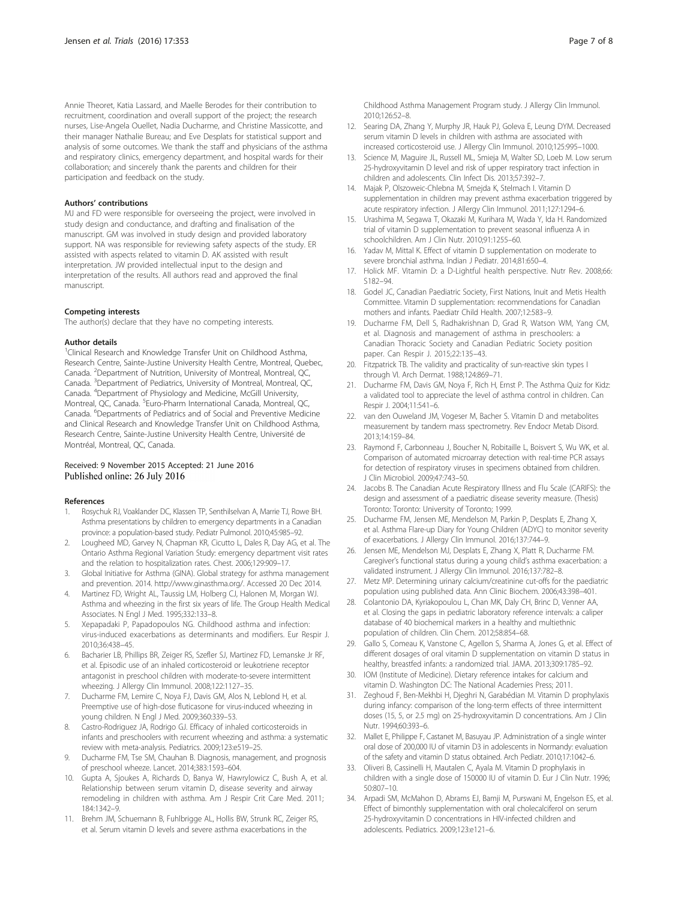<span id="page-6-0"></span>Annie Theoret, Katia Lassard, and Maelle Berodes for their contribution to recruitment, coordination and overall support of the project; the research nurses, Lise-Angela Ouellet, Nadia Ducharme, and Christine Massicotte, and their manager Nathalie Bureau; and Eve Desplats for statistical support and analysis of some outcomes. We thank the staff and physicians of the asthma and respiratory clinics, emergency department, and hospital wards for their collaboration; and sincerely thank the parents and children for their participation and feedback on the study.

#### Authors' contributions

MJ and FD were responsible for overseeing the project, were involved in study design and conductance, and drafting and finalisation of the manuscript. GM was involved in study design and provided laboratory support. NA was responsible for reviewing safety aspects of the study. ER assisted with aspects related to vitamin D. AK assisted with result interpretation. JW provided intellectual input to the design and interpretation of the results. All authors read and approved the final manuscript.

#### Competing interests

The author(s) declare that they have no competing interests.

#### Author details

<sup>1</sup>Clinical Research and Knowledge Transfer Unit on Childhood Asthma, Research Centre, Sainte-Justine University Health Centre, Montreal, Quebec, Canada. <sup>2</sup>Department of Nutrition, University of Montreal, Montreal, QC, Canada. <sup>3</sup>Department of Pediatrics, University of Montreal, Montreal, QC, Canada. <sup>4</sup>Department of Physiology and Medicine, McGill University, Montreal, QC, Canada. <sup>5</sup>Euro-Pharm International Canada, Montreal, QC, Canada. <sup>6</sup>Departments of Pediatrics and of Social and Preventive Medicine and Clinical Research and Knowledge Transfer Unit on Childhood Asthma, Research Centre, Sainte-Justine University Health Centre, Université de Montréal, Montreal, QC, Canada.

#### Received: 9 November 2015 Accepted: 21 June 2016 Published online: 26 July 2016

#### References

- 1. Rosychuk RJ, Voaklander DC, Klassen TP, Senthilselvan A, Marrie TJ, Rowe BH. Asthma presentations by children to emergency departments in a Canadian province: a population-based study. Pediatr Pulmonol. 2010;45:985–92.
- 2. Lougheed MD, Garvey N, Chapman KR, Cicutto L, Dales R, Day AG, et al. The Ontario Asthma Regional Variation Study: emergency department visit rates and the relation to hospitalization rates. Chest. 2006;129:909–17.
- 3. Global Initiative for Asthma (GINA). Global strategy for asthma management and prevention. 2014. [http://www.ginasthma.org/.](http://www.ginasthma.org/) Accessed 20 Dec 2014.
- 4. Martinez FD, Wright AL, Taussig LM, Holberg CJ, Halonen M, Morgan WJ. Asthma and wheezing in the first six years of life. The Group Health Medical Associates. N Engl J Med. 1995;332:133–8.
- 5. Xepapadaki P, Papadopoulos NG. Childhood asthma and infection: virus-induced exacerbations as determinants and modifiers. Eur Respir J. 2010;36:438–45.
- 6. Bacharier LB, Phillips BR, Zeiger RS, Szefler SJ, Martinez FD, Lemanske Jr RF, et al. Episodic use of an inhaled corticosteroid or leukotriene receptor antagonist in preschool children with moderate-to-severe intermittent wheezing. J Allergy Clin Immunol. 2008;122:1127–35.
- 7. Ducharme FM, Lemire C, Noya FJ, Davis GM, Alos N, Leblond H, et al. Preemptive use of high-dose fluticasone for virus-induced wheezing in young children. N Engl J Med. 2009;360:339–53.
- Castro-Rodriguez JA, Rodrigo GJ. Efficacy of inhaled corticosteroids in infants and preschoolers with recurrent wheezing and asthma: a systematic review with meta-analysis. Pediatrics. 2009;123:e519–25.
- 9. Ducharme FM, Tse SM, Chauhan B. Diagnosis, management, and prognosis of preschool wheeze. Lancet. 2014;383:1593–604.
- 10. Gupta A, Sjoukes A, Richards D, Banya W, Hawrylowicz C, Bush A, et al. Relationship between serum vitamin D, disease severity and airway remodeling in children with asthma. Am J Respir Crit Care Med. 2011; 184:1342–9.
- 11. Brehm JM, Schuemann B, Fuhlbrigge AL, Hollis BW, Strunk RC, Zeiger RS, et al. Serum vitamin D levels and severe asthma exacerbations in the

Childhood Asthma Management Program study. J Allergy Clin Immunol. 2010;126:52–8.

- 12. Searing DA, Zhang Y, Murphy JR, Hauk PJ, Goleva E, Leung DYM. Decreased serum vitamin D levels in children with asthma are associated with increased corticosteroid use. J Allergy Clin Immunol. 2010;125:995–1000.
- 13. Science M, Maguire JL, Russell ML, Smieja M, Walter SD, Loeb M. Low serum 25-hydroxyvitamin D level and risk of upper respiratory tract infection in children and adolescents. Clin Infect Dis. 2013;57:392–7.
- 14. Majak P, Olszoweic-Chlebna M, Smejda K, Stelmach I. Vitamin D supplementation in children may prevent asthma exacerbation triggered by acute respiratory infection. J Allergy Clin Immunol. 2011;127:1294–6.
- 15. Urashima M, Segawa T, Okazaki M, Kurihara M, Wada Y, Ida H. Randomized trial of vitamin D supplementation to prevent seasonal influenza A in schoolchildren. Am J Clin Nutr. 2010;91:1255–60.
- 16. Yadav M, Mittal K. Effect of vitamin D supplementation on moderate to severe bronchial asthma. Indian J Pediatr. 2014;81:650–4.
- 17. Holick MF. Vitamin D: a D-Lightful health perspective. Nutr Rev. 2008;66: S182–94.
- 18. Godel JC, Canadian Paediatric Society, First Nations, Inuit and Metis Health Committee. Vitamin D supplementation: recommendations for Canadian mothers and infants. Paediatr Child Health. 2007;12:583–9.
- 19. Ducharme FM, Dell S, Radhakrishnan D, Grad R, Watson WM, Yang CM, et al. Diagnosis and management of asthma in preschoolers: a Canadian Thoracic Society and Canadian Pediatric Society position paper. Can Respir J. 2015;22:135–43.
- 20. Fitzpatrick TB. The validity and practicality of sun-reactive skin types I through VI. Arch Dermat. 1988;124:869–71.
- 21. Ducharme FM, Davis GM, Noya F, Rich H, Ernst P. The Asthma Quiz for Kidz: a validated tool to appreciate the level of asthma control in children. Can Respir J. 2004;11:541–6.
- 22. van den Ouweland JM, Vogeser M, Bacher S. Vitamin D and metabolites measurement by tandem mass spectrometry. Rev Endocr Metab Disord. 2013;14:159–84.
- 23. Raymond F, Carbonneau J, Boucher N, Robitaille L, Boisvert S, Wu WK, et al. Comparison of automated microarray detection with real-time PCR assays for detection of respiratory viruses in specimens obtained from children. J Clin Microbiol. 2009;47:743–50.
- 24. Jacobs B. The Canadian Acute Respiratory Illness and Flu Scale (CARIFS): the design and assessment of a paediatric disease severity measure. (Thesis) Toronto: Toronto: University of Toronto; 1999.
- 25. Ducharme FM, Jensen ME, Mendelson M, Parkin P, Desplats E, Zhang X, et al. Asthma Flare-up Diary for Young Children (ADYC) to monitor severity of exacerbations. J Allergy Clin Immunol. 2016;137:744–9.
- 26. Jensen ME, Mendelson MJ, Desplats E, Zhang X, Platt R, Ducharme FM. Caregiver's functional status during a young child's asthma exacerbation: a validated instrument. J Allergy Clin Immunol. 2016;137:782–8.
- 27. Metz MP. Determining urinary calcium/creatinine cut-offs for the paediatric population using published data. Ann Clinic Biochem. 2006;43:398–401.
- 28. Colantonio DA, Kyriakopoulou L, Chan MK, Daly CH, Brinc D, Venner AA, et al. Closing the gaps in pediatric laboratory reference intervals: a caliper database of 40 biochemical markers in a healthy and multiethnic population of children. Clin Chem. 2012;58:854–68.
- 29. Gallo S, Comeau K, Vanstone C, Agellon S, Sharma A, Jones G, et al. Effect of different dosages of oral vitamin D supplementation on vitamin D status in healthy, breastfed infants: a randomized trial. JAMA. 2013;309:1785–92.
- 30. IOM (Institute of Medicine). Dietary reference intakes for calcium and vitamin D. Washington DC: The National Academies Press; 2011.
- 31. Zeghoud F, Ben-Mekhbi H, Djeghri N, Garabédian M. Vitamin D prophylaxis during infancy: comparison of the long-term effects of three intermittent doses (15, 5, or 2.5 mg) on 25-hydroxyvitamin D concentrations. Am J Clin Nutr. 1994;60:393–6.
- 32. Mallet E, Philippe F, Castanet M, Basuyau JP. Administration of a single winter oral dose of 200,000 IU of vitamin D3 in adolescents in Normandy: evaluation of the safety and vitamin D status obtained. Arch Pediatr. 2010;17:1042–6.
- 33. Oliveri B, Cassinelli H, Mautalen C, Ayala M. Vitamin D prophylaxis in children with a single dose of 150000 IU of vitamin D. Eur J Clin Nutr. 1996; 50:807–10.
- 34. Arpadi SM, McMahon D, Abrams EJ, Bamji M, Purswani M, Engelson ES, et al. Effect of bimonthly supplementation with oral cholecalciferol on serum 25-hydroxyvitamin D concentrations in HIV-infected children and adolescents. Pediatrics. 2009;123:e121–6.